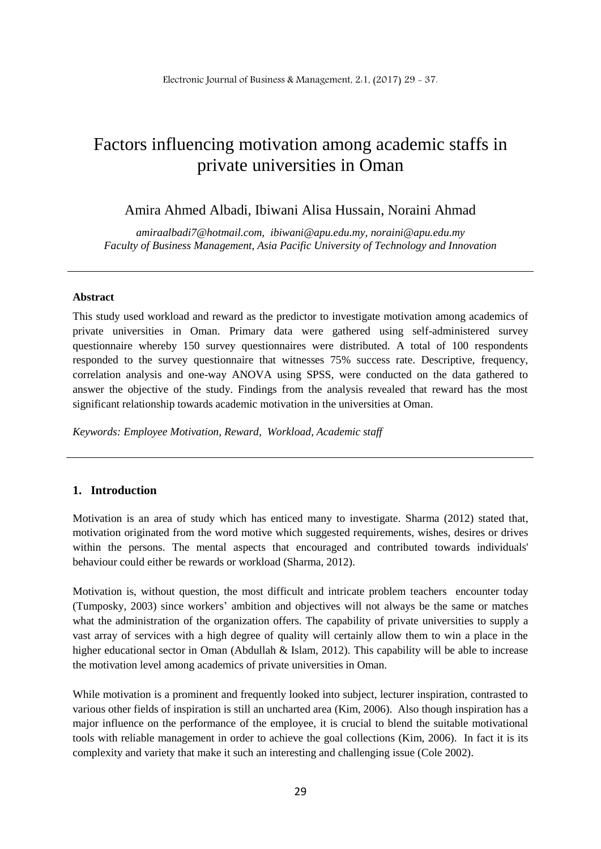# Factors influencing motivation among academic staffs in private universities in Oman

## Amira Ahmed Albadi, Ibiwani Alisa Hussain, Noraini Ahmad

*amiraalbadi7@hotmail.com, [ibiwani@apu.edu.my,](mailto:ibiwani@apu.edu.my) noraini@apu.edu.my Faculty of Business Management, Asia Pacific University of Technology and Innovation*

#### **Abstract**

This study used workload and reward as the predictor to investigate motivation among academics of private universities in Oman. Primary data were gathered using self-administered survey questionnaire whereby 150 survey questionnaires were distributed. A total of 100 respondents responded to the survey questionnaire that witnesses 75% success rate. Descriptive, frequency, correlation analysis and one-way ANOVA using SPSS, were conducted on the data gathered to answer the objective of the study. Findings from the analysis revealed that reward has the most significant relationship towards academic motivation in the universities at Oman.

*Keywords: Employee Motivation, Reward, Workload, Academic staff*

#### **1. Introduction**

Motivation is an area of study which has enticed many to investigate. Sharma (2012) stated that, motivation originated from the word motive which suggested requirements, wishes, desires or drives within the persons. The mental aspects that encouraged and contributed towards individuals' behaviour could either be rewards or workload (Sharma, 2012).

Motivation is, without question, the most difficult and intricate problem teachers encounter today (Tumposky, 2003) since workers' ambition and objectives will not always be the same or matches what the administration of the organization offers. The capability of private universities to supply a vast array of services with a high degree of quality will certainly allow them to win a place in the higher educational sector in Oman (Abdullah & Islam, 2012). This capability will be able to increase the motivation level among academics of private universities in Oman.

While motivation is a prominent and frequently looked into subject, lecturer inspiration, contrasted to various other fields of inspiration is still an uncharted area (Kim, 2006). Also though inspiration has a major influence on the performance of the employee, it is crucial to blend the suitable motivational tools with reliable management in order to achieve the goal collections (Kim, 2006). In fact it is its complexity and variety that make it such an interesting and challenging issue (Cole 2002).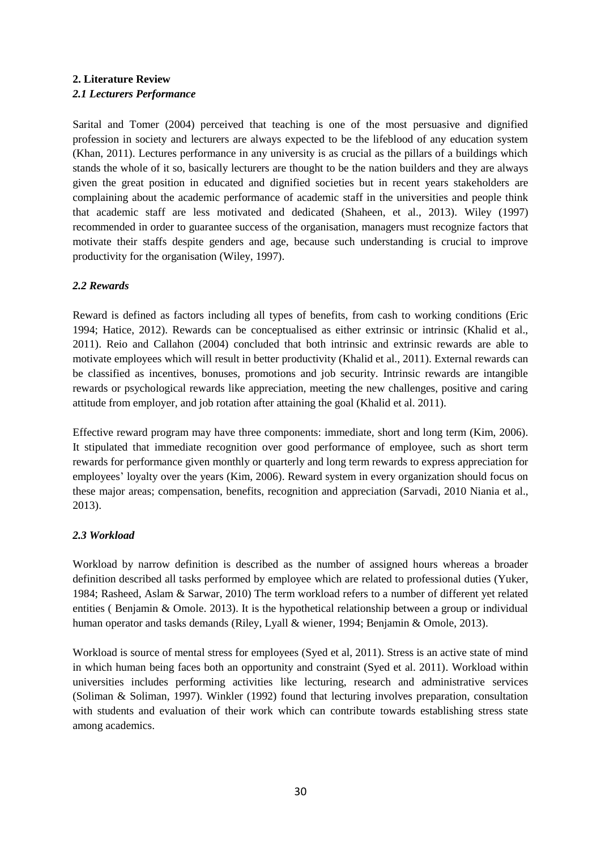# **2. Literature Review** *2.1 Lecturers Performance*

Sarital and Tomer (2004) perceived that teaching is one of the most persuasive and dignified profession in society and lecturers are always expected to be the lifeblood of any education system (Khan, 2011). Lectures performance in any university is as crucial as the pillars of a buildings which stands the whole of it so, basically lecturers are thought to be the nation builders and they are always given the great position in educated and dignified societies but in recent years stakeholders are complaining about the academic performance of academic staff in the universities and people think that academic staff are less motivated and dedicated (Shaheen, et al., 2013). Wiley (1997) recommended in order to guarantee success of the organisation, managers must recognize factors that motivate their staffs despite genders and age, because such understanding is crucial to improve productivity for the organisation (Wiley, 1997).

# *2.2 Rewards*

Reward is defined as factors including all types of benefits, from cash to working conditions (Eric 1994; Hatice, 2012). Rewards can be conceptualised as either extrinsic or intrinsic (Khalid et al., 2011). Reio and Callahon (2004) concluded that both intrinsic and extrinsic rewards are able to motivate employees which will result in better productivity (Khalid et al., 2011). External rewards can be classified as incentives, bonuses, promotions and job security. Intrinsic rewards are intangible rewards or psychological rewards like appreciation, meeting the new challenges, positive and caring attitude from employer, and job rotation after attaining the goal (Khalid et al. 2011).

Effective reward program may have three components: immediate, short and long term (Kim, 2006). It stipulated that immediate recognition over good performance of employee, such as short term rewards for performance given monthly or quarterly and long term rewards to express appreciation for employees' loyalty over the years (Kim, 2006). Reward system in every organization should focus on these major areas; compensation, benefits, recognition and appreciation (Sarvadi, 2010 Niania et al., 2013).

### *2.3 Workload*

Workload by narrow definition is described as the number of assigned hours whereas a broader definition described all tasks performed by employee which are related to professional duties (Yuker, 1984; Rasheed, Aslam & Sarwar, 2010) The term workload refers to a number of different yet related entities ( Benjamin & Omole. 2013). It is the hypothetical relationship between a group or individual human operator and tasks demands (Riley, Lyall & wiener, 1994; Benjamin & Omole, 2013).

Workload is source of mental stress for employees (Syed et al, 2011). Stress is an active state of mind in which human being faces both an opportunity and constraint (Syed et al. 2011). Workload within universities includes performing activities like lecturing, research and administrative services (Soliman & Soliman, 1997). Winkler (1992) found that lecturing involves preparation, consultation with students and evaluation of their work which can contribute towards establishing stress state among academics.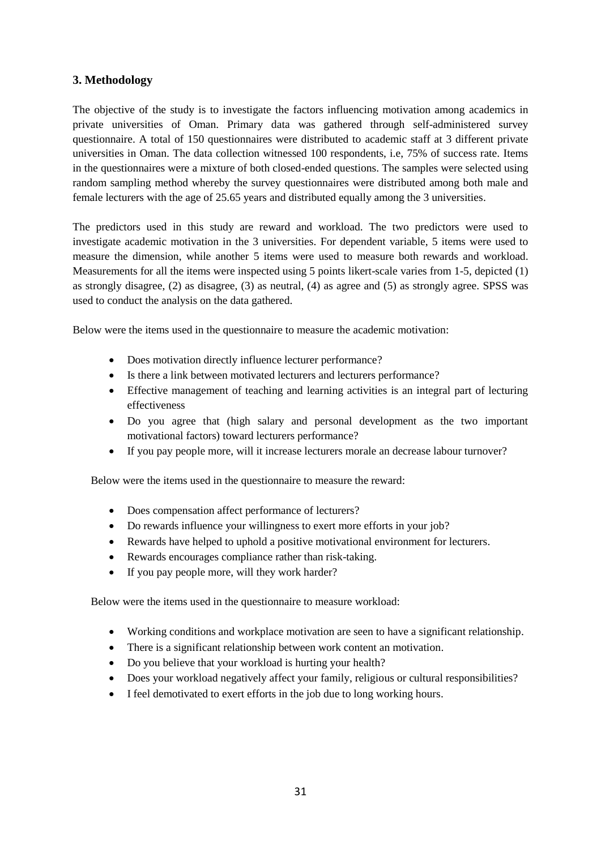# **3. Methodology**

The objective of the study is to investigate the factors influencing motivation among academics in private universities of Oman. Primary data was gathered through self-administered survey questionnaire. A total of 150 questionnaires were distributed to academic staff at 3 different private universities in Oman. The data collection witnessed 100 respondents, i.e, 75% of success rate. Items in the questionnaires were a mixture of both closed-ended questions. The samples were selected using random sampling method whereby the survey questionnaires were distributed among both male and female lecturers with the age of 25.65 years and distributed equally among the 3 universities.

The predictors used in this study are reward and workload. The two predictors were used to investigate academic motivation in the 3 universities. For dependent variable, 5 items were used to measure the dimension, while another 5 items were used to measure both rewards and workload. Measurements for all the items were inspected using 5 points likert-scale varies from 1-5, depicted (1) as strongly disagree, (2) as disagree, (3) as neutral, (4) as agree and (5) as strongly agree. SPSS was used to conduct the analysis on the data gathered.

Below were the items used in the questionnaire to measure the academic motivation:

- Does motivation directly influence lecturer performance?
- Is there a link between motivated lecturers and lecturers performance?
- Effective management of teaching and learning activities is an integral part of lecturing effectiveness
- Do you agree that (high salary and personal development as the two important motivational factors) toward lecturers performance?
- If you pay people more, will it increase lecturers morale an decrease labour turnover?

Below were the items used in the questionnaire to measure the reward:

- Does compensation affect performance of lecturers?
- Do rewards influence your willingness to exert more efforts in your job?
- Rewards have helped to uphold a positive motivational environment for lecturers.
- Rewards encourages compliance rather than risk-taking.
- If you pay people more, will they work harder?

Below were the items used in the questionnaire to measure workload:

- Working conditions and workplace motivation are seen to have a significant relationship.
- There is a significant relationship between work content an motivation.
- Do you believe that your workload is hurting your health?
- Does your workload negatively affect your family, religious or cultural responsibilities?
- I feel demotivated to exert efforts in the job due to long working hours.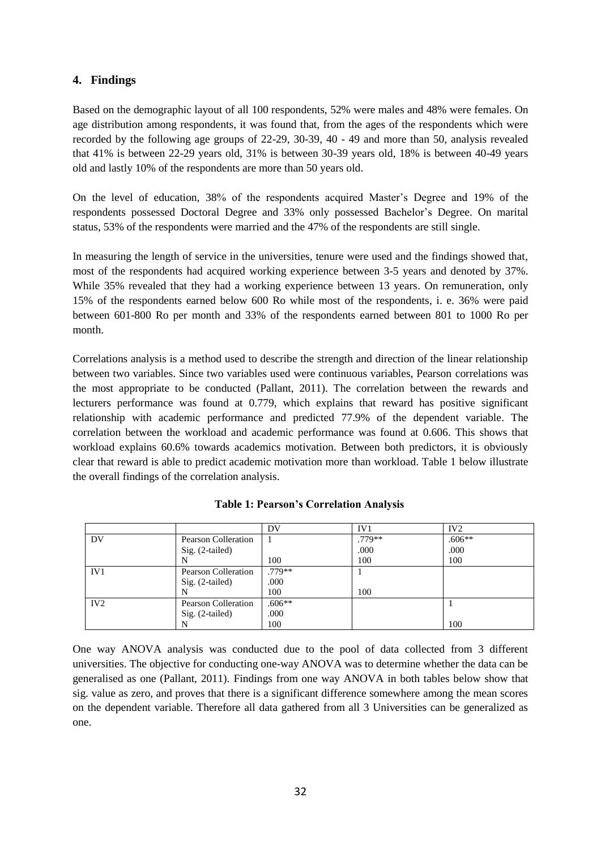# **4. Findings**

Based on the demographic layout of all 100 respondents, 52% were males and 48% were females. On age distribution among respondents, it was found that, from the ages of the respondents which were recorded by the following age groups of 22-29, 30-39, 40 - 49 and more than 50, analysis revealed that 41% is between 22-29 years old, 31% is between 30-39 years old, 18% is between 40-49 years old and lastly 10% of the respondents are more than 50 years old.

On the level of education, 38% of the respondents acquired Master's Degree and 19% of the respondents possessed Doctoral Degree and 33% only possessed Bachelor's Degree. On marital status, 53% of the respondents were married and the 47% of the respondents are still single.

In measuring the length of service in the universities, tenure were used and the findings showed that, most of the respondents had acquired working experience between 3-5 years and denoted by 37%. While 35% revealed that they had a working experience between 13 years. On remuneration, only 15% of the respondents earned below 600 Ro while most of the respondents, i. e. 36% were paid between 601-800 Ro per month and 33% of the respondents earned between 801 to 1000 Ro per month.

Correlations analysis is a method used to describe the strength and direction of the linear relationship between two variables. Since two variables used were continuous variables, Pearson correlations was the most appropriate to be conducted (Pallant, 2011). The correlation between the rewards and lecturers performance was found at 0.779, which explains that reward has positive significant relationship with academic performance and predicted 77.9% of the dependent variable. The correlation between the workload and academic performance was found at 0.606. This shows that workload explains 60.6% towards academics motivation. Between both predictors, it is obviously clear that reward is able to predict academic motivation more than workload. Table 1 below illustrate the overall findings of the correlation analysis.

|                 |                     | DV       | IV <sub>1</sub> | IV <sub>2</sub> |
|-----------------|---------------------|----------|-----------------|-----------------|
| DV              | Pearson Colleration |          | $.779**$        | $.606**$        |
|                 | $Sig. (2-tailed)$   |          | .000            | .000            |
|                 |                     | 100      | 100             | 100             |
| IV <sub>1</sub> | Pearson Colleration | $.779**$ |                 |                 |
|                 | $Sig. (2-tailed)$   | .000     |                 |                 |
|                 |                     | 100      | 100             |                 |
| IV <sub>2</sub> | Pearson Colleration | $.606**$ |                 |                 |
|                 | $Sig. (2-tailed)$   | .000     |                 |                 |
|                 |                     | 100      |                 | 100             |

# **Table 1: Pearson's Correlation Analysis**

One way ANOVA analysis was conducted due to the pool of data collected from 3 different universities. The objective for conducting one-way ANOVA was to determine whether the data can be generalised as one (Pallant, 2011). Findings from one way ANOVA in both tables below show that sig. value as zero, and proves that there is a significant difference somewhere among the mean scores on the dependent variable. Therefore all data gathered from all 3 Universities can be generalized as one.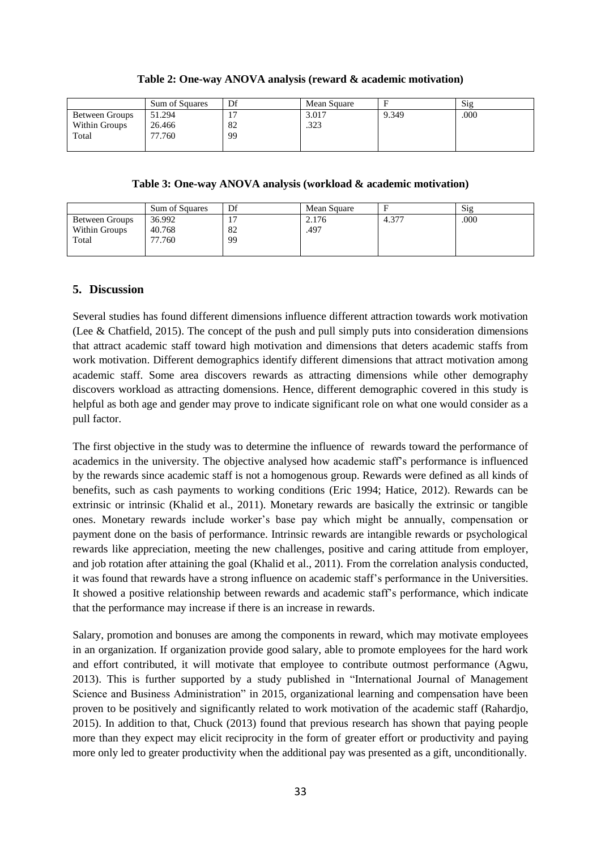| Table 2: One-way ANOVA analysis (reward & academic motivation) |  |  |
|----------------------------------------------------------------|--|--|
|----------------------------------------------------------------|--|--|

|                | <b>Sum of Squares</b> | Df | Mean Square |       | Sig  |
|----------------|-----------------------|----|-------------|-------|------|
| Between Groups | 51.294                |    | 3.017       | 9.349 | .000 |
| Within Groups  | 26.466                | 82 | .323        |       |      |
| Total          | 77.760                | 99 |             |       |      |
|                |                       |    |             |       |      |

**Table 3: One-way ANOVA analysis (workload & academic motivation)**

|                                          | <b>Sum of Squares</b>      | Df       | Mean Square   |            | Sig  |
|------------------------------------------|----------------------------|----------|---------------|------------|------|
| Between Groups<br>Within Groups<br>Total | 36.992<br>40.768<br>77.760 | 82<br>99 | 2.176<br>.497 | $4.37^{-}$ | .000 |

#### **5. Discussion**

Several studies has found different dimensions influence different attraction towards work motivation (Lee & Chatfield, 2015). The concept of the push and pull simply puts into consideration dimensions that attract academic staff toward high motivation and dimensions that deters academic staffs from work motivation. Different demographics identify different dimensions that attract motivation among academic staff. Some area discovers rewards as attracting dimensions while other demography discovers workload as attracting domensions. Hence, different demographic covered in this study is helpful as both age and gender may prove to indicate significant role on what one would consider as a pull factor.

The first objective in the study was to determine the influence of rewards toward the performance of academics in the university. The objective analysed how academic staff's performance is influenced by the rewards since academic staff is not a homogenous group. Rewards were defined as all kinds of benefits, such as cash payments to working conditions (Eric 1994; Hatice, 2012). Rewards can be extrinsic or intrinsic (Khalid et al., 2011). Monetary rewards are basically the extrinsic or tangible ones. Monetary rewards include worker's base pay which might be annually, compensation or payment done on the basis of performance. Intrinsic rewards are intangible rewards or psychological rewards like appreciation, meeting the new challenges, positive and caring attitude from employer, and job rotation after attaining the goal (Khalid et al., 2011). From the correlation analysis conducted, it was found that rewards have a strong influence on academic staff's performance in the Universities. It showed a positive relationship between rewards and academic staff's performance, which indicate that the performance may increase if there is an increase in rewards.

Salary, promotion and bonuses are among the components in reward, which may motivate employees in an organization. If organization provide good salary, able to promote employees for the hard work and effort contributed, it will motivate that employee to contribute outmost performance (Agwu, 2013). This is further supported by a study published in "International Journal of Management Science and Business Administration" in 2015, organizational learning and compensation have been proven to be positively and significantly related to work motivation of the academic staff (Rahardjo, 2015). In addition to that, Chuck (2013) found that previous research has shown that paying people more than they expect may elicit reciprocity in the form of greater effort or productivity and paying more only led to greater productivity when the additional pay was presented as a gift, unconditionally.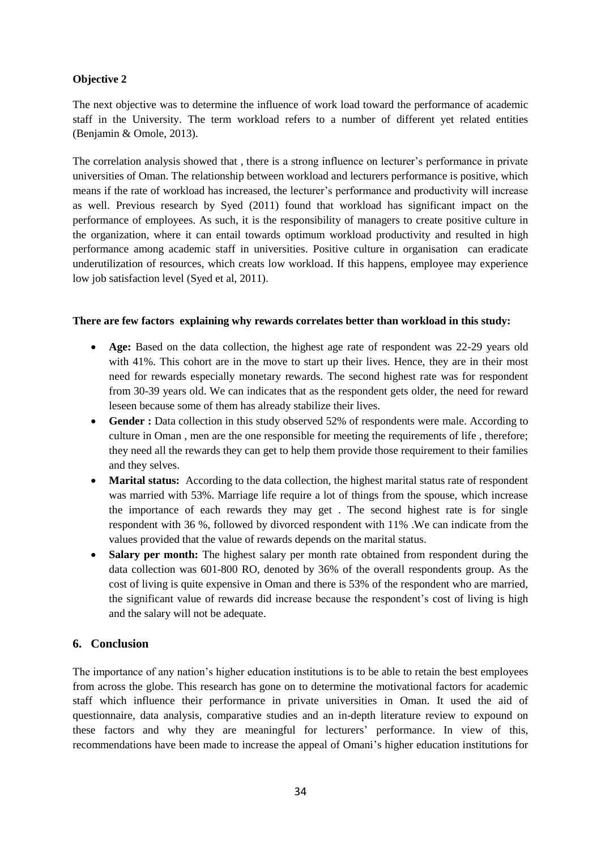## **Objective 2**

The next objective was to determine the influence of work load toward the performance of academic staff in the University. The term workload refers to a number of different yet related entities (Benjamin & Omole, 2013).

The correlation analysis showed that , there is a strong influence on lecturer's performance in private universities of Oman. The relationship between workload and lecturers performance is positive, which means if the rate of workload has increased, the lecturer's performance and productivity will increase as well. Previous research by Syed (2011) found that workload has significant impact on the performance of employees. As such, it is the responsibility of managers to create positive culture in the organization, where it can entail towards optimum workload productivity and resulted in high performance among academic staff in universities. Positive culture in organisation can eradicate underutilization of resources, which creats low workload. If this happens, employee may experience low job satisfaction level (Syed et al, 2011).

#### **There are few factors explaining why rewards correlates better than workload in this study:**

- Age: Based on the data collection, the highest age rate of respondent was 22-29 years old with 41%. This cohort are in the move to start up their lives. Hence, they are in their most need for rewards especially monetary rewards. The second highest rate was for respondent from 30-39 years old. We can indicates that as the respondent gets older, the need for reward leseen because some of them has already stabilize their lives.
- Gender : Data collection in this study observed 52% of respondents were male. According to culture in Oman , men are the one responsible for meeting the requirements of life , therefore; they need all the rewards they can get to help them provide those requirement to their families and they selves.
- **Marital status:** According to the data collection, the highest marital status rate of respondent was married with 53%. Marriage life require a lot of things from the spouse, which increase the importance of each rewards they may get . The second highest rate is for single respondent with 36 %, followed by divorced respondent with 11% .We can indicate from the values provided that the value of rewards depends on the marital status.
- Salary per month: The highest salary per month rate obtained from respondent during the data collection was 601-800 RO, denoted by 36% of the overall respondents group. As the cost of living is quite expensive in Oman and there is 53% of the respondent who are married, the significant value of rewards did increase because the respondent's cost of living is high and the salary will not be adequate.

# **6. Conclusion**

The importance of any nation's higher education institutions is to be able to retain the best employees from across the globe. This research has gone on to determine the motivational factors for academic staff which influence their performance in private universities in Oman. It used the aid of questionnaire, data analysis, comparative studies and an in-depth literature review to expound on these factors and why they are meaningful for lecturers' performance. In view of this, recommendations have been made to increase the appeal of Omani's higher education institutions for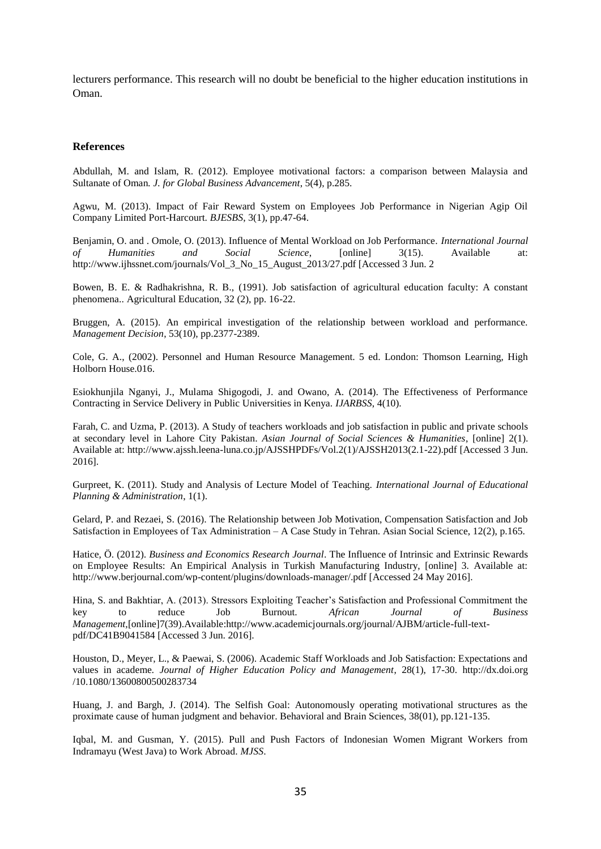lecturers performance. This research will no doubt be beneficial to the higher education institutions in Oman.

#### **References**

Abdullah, M. and Islam, R. (2012). Employee motivational factors: a comparison between Malaysia and Sultanate of Oman*. J. for Global Business Advancement*, 5(4), p.285.

Agwu, M. (2013). Impact of Fair Reward System on Employees Job Performance in Nigerian Agip Oil Company Limited Port-Harcourt. *BJESBS*, 3(1), pp.47-64.

Benjamin, O. and . Omole, O. (2013). Influence of Mental Workload on Job Performance. *International Journal of Humanities and Social Science*, [online] 3(15). Available at: http://www.ijhssnet.com/journals/Vol\_3\_No\_15\_August\_2013/27.pdf [Accessed 3 Jun. 2

Bowen, B. E. & Radhakrishna, R. B., (1991). Job satisfaction of agricultural education faculty: A constant phenomena.. Agricultural Education, 32 (2), pp. 16-22.

Bruggen, A. (2015). An empirical investigation of the relationship between workload and performance. *Management Decision*, 53(10), pp.2377-2389.

Cole, G. A., (2002). Personnel and Human Resource Management. 5 ed. London: Thomson Learning, High Holborn House.016.

Esiokhunjila Nganyi, J., Mulama Shigogodi, J. and Owano, A. (2014). The Effectiveness of Performance Contracting in Service Delivery in Public Universities in Kenya. *IJARBSS*, 4(10).

Farah, C. and Uzma, P. (2013). A Study of teachers workloads and job satisfaction in public and private schools at secondary level in Lahore City Pakistan. *Asian Journal of Social Sciences & Humanities*, [online] 2(1). Available at: http://www.ajssh.leena-luna.co.jp/AJSSHPDFs/Vol.2(1)/AJSSH2013(2.1-22).pdf [Accessed 3 Jun. 2016].

Gurpreet, K. (2011). Study and Analysis of Lecture Model of Teaching. *International Journal of Educational Planning & Administration*, 1(1).

Gelard, P. and Rezaei, S. (2016). The Relationship between Job Motivation, Compensation Satisfaction and Job Satisfaction in Employees of Tax Administration – A Case Study in Tehran. Asian Social Science, 12(2), p.165.

Hatice, Ö. (2012). *Business and Economics Research Journal*. The Influence of Intrinsic and Extrinsic Rewards on Employee Results: An Empirical Analysis in Turkish Manufacturing Industry, [online] 3. Available at: http://www.berjournal.com/wp-content/plugins/downloads-manager/.pdf [Accessed 24 May 2016].

Hina, S. and Bakhtiar, A. (2013). Stressors Exploiting Teacher's Satisfaction and Professional Commitment the key to reduce Job Burnout. *African Journal of Business Management,*[online]7(39).Available[:http://www.academicjournals.org/journal/AJBM/article-full-text](http://www.academicjournals.org/journal/AJBM/article-full-text-pdf/DC41B9041584)[pdf/DC41B9041584](http://www.academicjournals.org/journal/AJBM/article-full-text-pdf/DC41B9041584) [Accessed 3 Jun. 2016].

Houston, D., Meyer, L., & Paewai, S. (2006). Academic Staff Workloads and Job Satisfaction: Expectations and values in academe*. Journal of Higher Education Policy and Management*, 28(1), 17-30. http://dx.doi.org /10.1080/13600800500283734

Huang, J. and Bargh, J. (2014). The Selfish Goal: Autonomously operating motivational structures as the proximate cause of human judgment and behavior. Behavioral and Brain Sciences, 38(01), pp.121-135.

Iqbal, M. and Gusman, Y. (2015). Pull and Push Factors of Indonesian Women Migrant Workers from Indramayu (West Java) to Work Abroad. *MJSS*.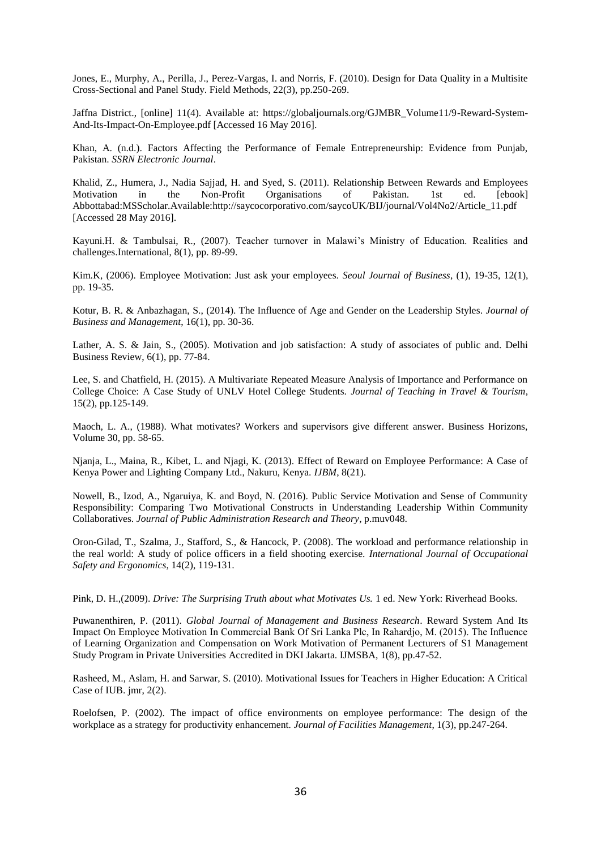Jones, E., Murphy, A., Perilla, J., Perez-Vargas, I. and Norris, F. (2010). Design for Data Quality in a Multisite Cross-Sectional and Panel Study. Field Methods, 22(3), pp.250-269.

Jaffna District., [online] 11(4). Available at: https://globaljournals.org/GJMBR\_Volume11/9-Reward-System-And-Its-Impact-On-Employee.pdf [Accessed 16 May 2016].

Khan, A. (n.d.). Factors Affecting the Performance of Female Entrepreneurship: Evidence from Punjab, Pakistan. *SSRN Electronic Journal*.

Khalid, Z., Humera, J., Nadia Sajjad, H. and Syed, S. (2011). Relationship Between Rewards and Employees Motivation in the Non-Profit Organisations of Pakistan. 1st ed. [ebook] Abbottabad:MSScholar.Available:http://saycocorporativo.com/saycoUK/BIJ/journal/Vol4No2/Article\_11.pdf [Accessed 28 May 2016].

Kayuni.H. & Tambulsai, R., (2007). Teacher turnover in Malawi's Ministry of Education. Realities and challenges.International, 8(1), pp. 89-99.

Kim.K, (2006). Employee Motivation: Just ask your employees. *Seoul Journal of Business*, (1), 19-35, 12(1), pp. 19-35.

Kotur, B. R. & Anbazhagan, S., (2014). The Influence of Age and Gender on the Leadership Styles*. Journal of Business and Management*, 16(1), pp. 30-36.

Lather, A. S. & Jain, S., (2005). Motivation and job satisfaction: A study of associates of public and. Delhi Business Review, 6(1), pp. 77-84.

Lee, S. and Chatfield, H. (2015). A Multivariate Repeated Measure Analysis of Importance and Performance on College Choice: A Case Study of UNLV Hotel College Students. *Journal of Teaching in Travel & Tourism*, 15(2), pp.125-149.

Maoch, L. A., (1988). What motivates? Workers and supervisors give different answer. Business Horizons, Volume 30, pp. 58-65.

Njanja, L., Maina, R., Kibet, L. and Njagi, K. (2013). Effect of Reward on Employee Performance: A Case of Kenya Power and Lighting Company Ltd., Nakuru, Kenya. *IJBM*, 8(21).

Nowell, B., Izod, A., Ngaruiya, K. and Boyd, N. (2016). Public Service Motivation and Sense of Community Responsibility: Comparing Two Motivational Constructs in Understanding Leadership Within Community Collaboratives. *Journal of Public Administration Research and Theory*, p.muv048.

Oron-Gilad, T., Szalma, J., Stafford, S., & Hancock, P. (2008). The workload and performance relationship in the real world: A study of police officers in a field shooting exercise. *International Journal of Occupational Safety and Ergonomics*, 14(2), 119-131.

Pink, D. H.,(2009). *Drive: The Surprising Truth about what Motivates Us.* 1 ed. New York: Riverhead Books.

Puwanenthiren, P. (2011). *Global Journal of Management and Business Research*. Reward System And Its Impact On Employee Motivation In Commercial Bank Of Sri Lanka Plc, In Rahardjo, M. (2015). The Influence of Learning Organization and Compensation on Work Motivation of Permanent Lecturers of S1 Management Study Program in Private Universities Accredited in DKI Jakarta. IJMSBA, 1(8), pp.47-52.

Rasheed, M., Aslam, H. and Sarwar, S. (2010). Motivational Issues for Teachers in Higher Education: A Critical Case of IUB. jmr, 2(2).

Roelofsen, P. (2002). The impact of office environments on employee performance: The design of the workplace as a strategy for productivity enhancement*. Journal of Facilities Management*, 1(3), pp.247-264.